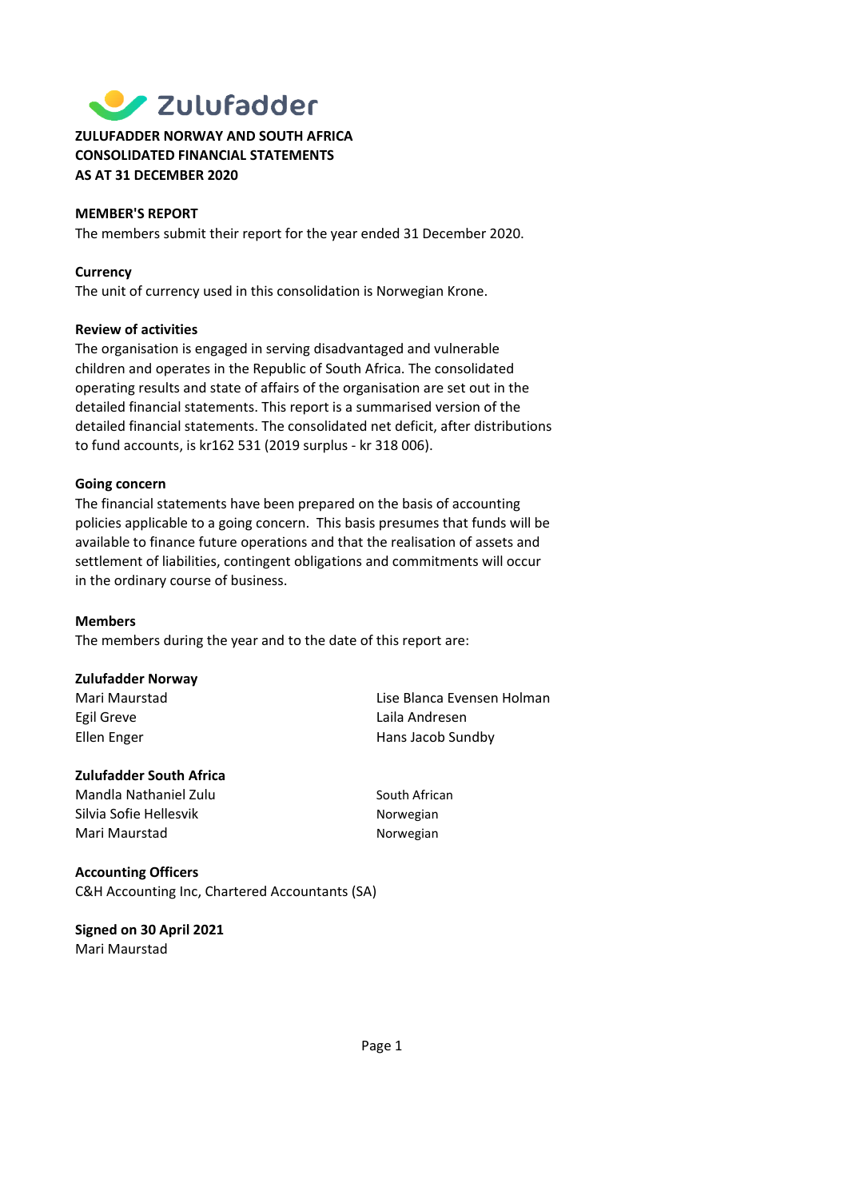

# ZULUFADDER NORWAY AND SOUTH AFRICA CONSOLIDATED FINANCIAL STATEMENTS AS AT 31 DECEMBER 2020

#### MEMBER'S REPORT

The members submit their report for the year ended 31 December 2020.

#### **Currency**

The unit of currency used in this consolidation is Norwegian Krone.

#### Review of activities

The organisation is engaged in serving disadvantaged and vulnerable children and operates in the Republic of South Africa. The consolidated operating results and state of affairs of the organisation are set out in the detailed financial statements. This report is a summarised version of the detailed financial statements. The consolidated net deficit, after distributions to fund accounts, is kr162 531 (2019 surplus - kr 318 006).

#### Going concern

The financial statements have been prepared on the basis of accounting policies applicable to a going concern. This basis presumes that funds will be available to finance future operations and that the realisation of assets and settlement of liabilities, contingent obligations and commitments will occur in the ordinary course of business.

#### Members

The members during the year and to the date of this report are:

#### Zulufadder Norway

Egil Greve Laila Andresen

## Zulufadder South Africa

Mandla Nathaniel Zulu South African Silvia Sofie Hellesvik Norwegian Mari Maurstad Norwegian

Mari Maurstad Lise Blanca Evensen Holman Ellen Enger **Hans Jacob Sundby** 

## Accounting Officers

C&H Accounting Inc, Chartered Accountants (SA)

# Signed on 30 April 2021

Mari Maurstad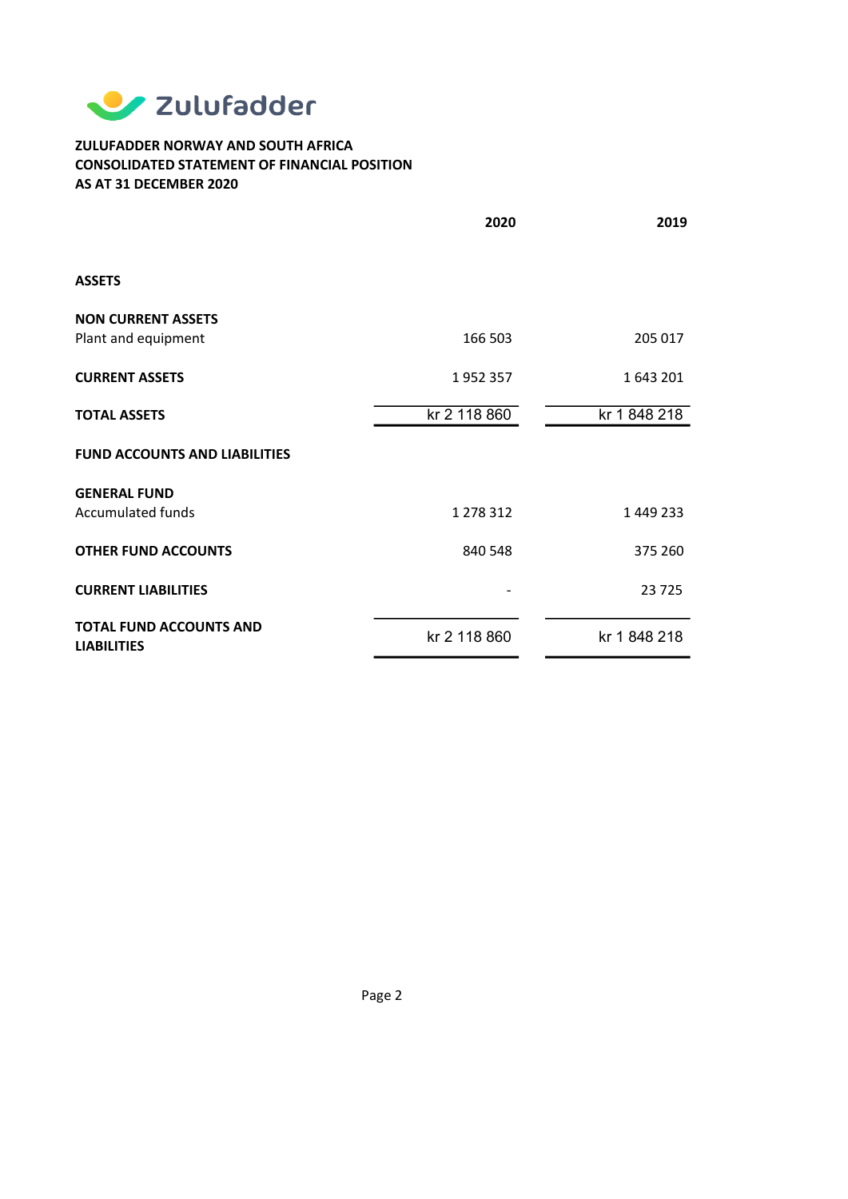

# ZULUFADDER NORWAY AND SOUTH AFRICA CONSOLIDATED STATEMENT OF FINANCIAL POSITION AS AT 31 DECEMBER 2020

|                                                      | 2020         | 2019         |
|------------------------------------------------------|--------------|--------------|
|                                                      |              |              |
| <b>ASSETS</b>                                        |              |              |
| <b>NON CURRENT ASSETS</b>                            |              |              |
| Plant and equipment                                  | 166 503      | 205 017      |
| <b>CURRENT ASSETS</b>                                | 1952357      | 1643 201     |
| <b>TOTAL ASSETS</b>                                  | kr 2 118 860 | kr 1 848 218 |
| <b>FUND ACCOUNTS AND LIABILITIES</b>                 |              |              |
| <b>GENERAL FUND</b>                                  |              |              |
| <b>Accumulated funds</b>                             | 1 278 312    | 1 449 233    |
| <b>OTHER FUND ACCOUNTS</b>                           | 840 548      | 375 260      |
| <b>CURRENT LIABILITIES</b>                           |              | 23725        |
| <b>TOTAL FUND ACCOUNTS AND</b><br><b>LIABILITIES</b> | kr 2 118 860 | kr 1 848 218 |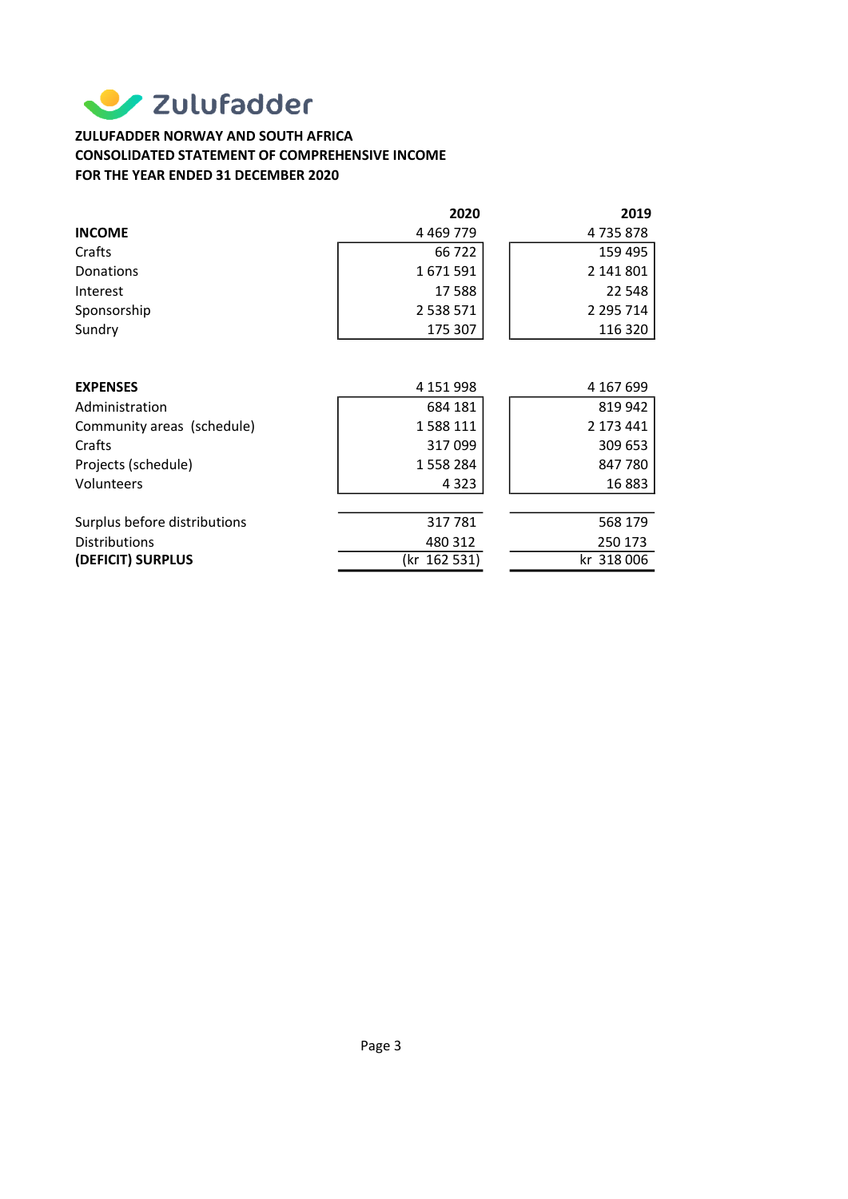

# ZULUFADDER NORWAY AND SOUTH AFRICA CONSOLIDATED STATEMENT OF COMPREHENSIVE INCOME FOR THE YEAR ENDED 31 DECEMBER 2020

|                              | 2020         | 2019          |
|------------------------------|--------------|---------------|
| <b>INCOME</b>                | 4 4 69 7 7 9 | 4735878       |
| Crafts                       | 66 722       | 159 495       |
| Donations                    | 1671591      | 2 141 801     |
| Interest                     | 17588        | 22 548        |
| Sponsorship                  | 2 538 571    | 2 2 9 5 7 1 4 |
| Sundry                       | 175 307      | 116 320       |
|                              |              |               |
| <b>EXPENSES</b>              | 4 151 998    | 4 167 699     |
| Administration               | 684 181      | 819 942       |
| Community areas (schedule)   | 1588111      | 2 173 441     |
| Crafts                       | 317099       | 309 653       |
| Projects (schedule)          | 1558284      | 847780        |
| Volunteers                   | 4 3 2 3      | 16883         |
|                              |              |               |
| Surplus before distributions | 317781       | 568 179       |
| <b>Distributions</b>         | 480 312      | 250 173       |
| (DEFICIT) SURPLUS            | (kr 162 531) | kr 318 006    |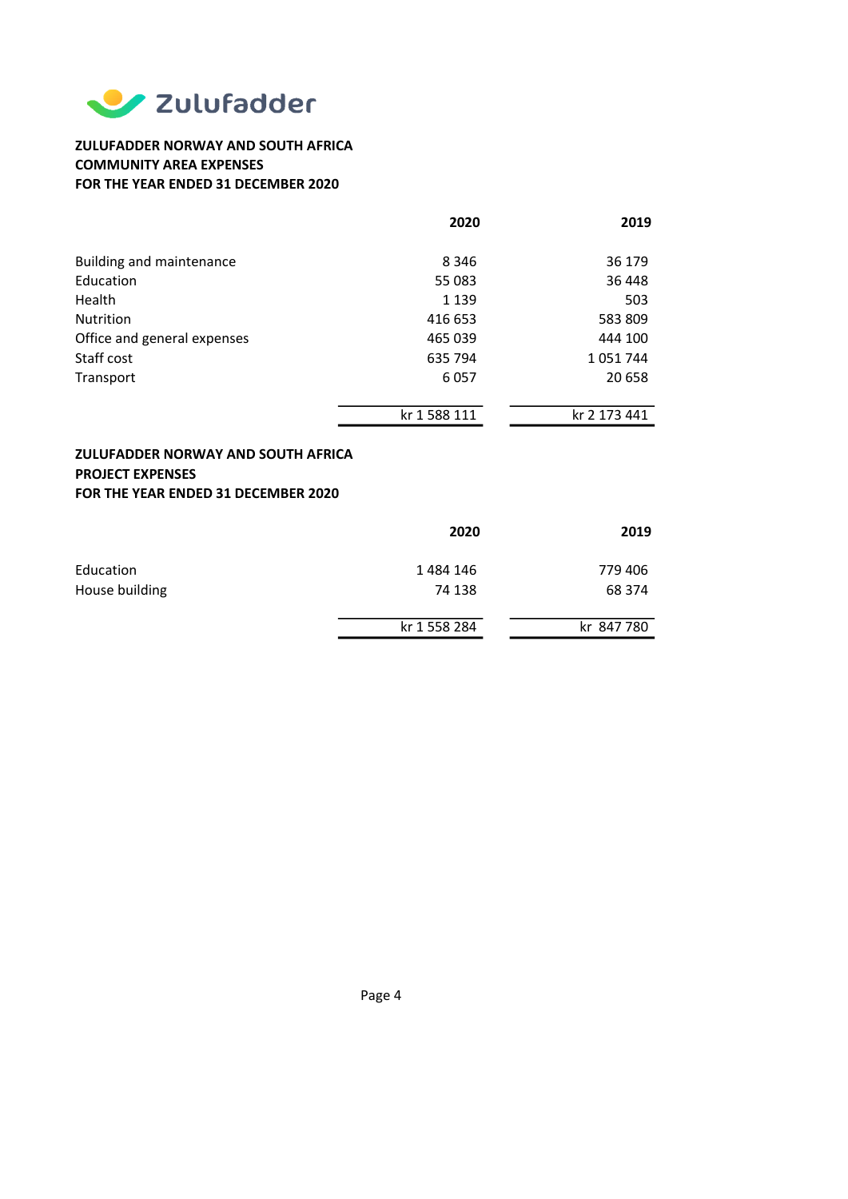

# ZULUFADDER NORWAY AND SOUTH AFRICA COMMUNITY AREA EXPENSES FOR THE YEAR ENDED 31 DECEMBER 2020

|                                                                                                             | 2020         | 2019         |
|-------------------------------------------------------------------------------------------------------------|--------------|--------------|
| Building and maintenance                                                                                    | 8 3 4 6      | 36 179       |
| Education                                                                                                   | 55 083       | 36 448       |
| Health                                                                                                      | 1 1 3 9      | 503          |
| Nutrition                                                                                                   | 416 653      | 583 809      |
| Office and general expenses                                                                                 | 465 039      | 444 100      |
| Staff cost                                                                                                  | 635 794      | 1051744      |
| Transport                                                                                                   | 6057         | 20 658       |
|                                                                                                             |              |              |
|                                                                                                             | kr 1 588 111 | kr 2 173 441 |
| <b>ZULUFADDER NORWAY AND SOUTH AFRICA</b><br><b>PROJECT EXPENSES</b><br>FOR THE YEAR ENDED 31 DECEMBER 2020 |              |              |
|                                                                                                             | 2020         | 2019         |
| Education                                                                                                   | 1484146      | 779 406      |
| House building                                                                                              | 74 138       | 68 374       |
|                                                                                                             | kr 1 558 284 | kr 847 780   |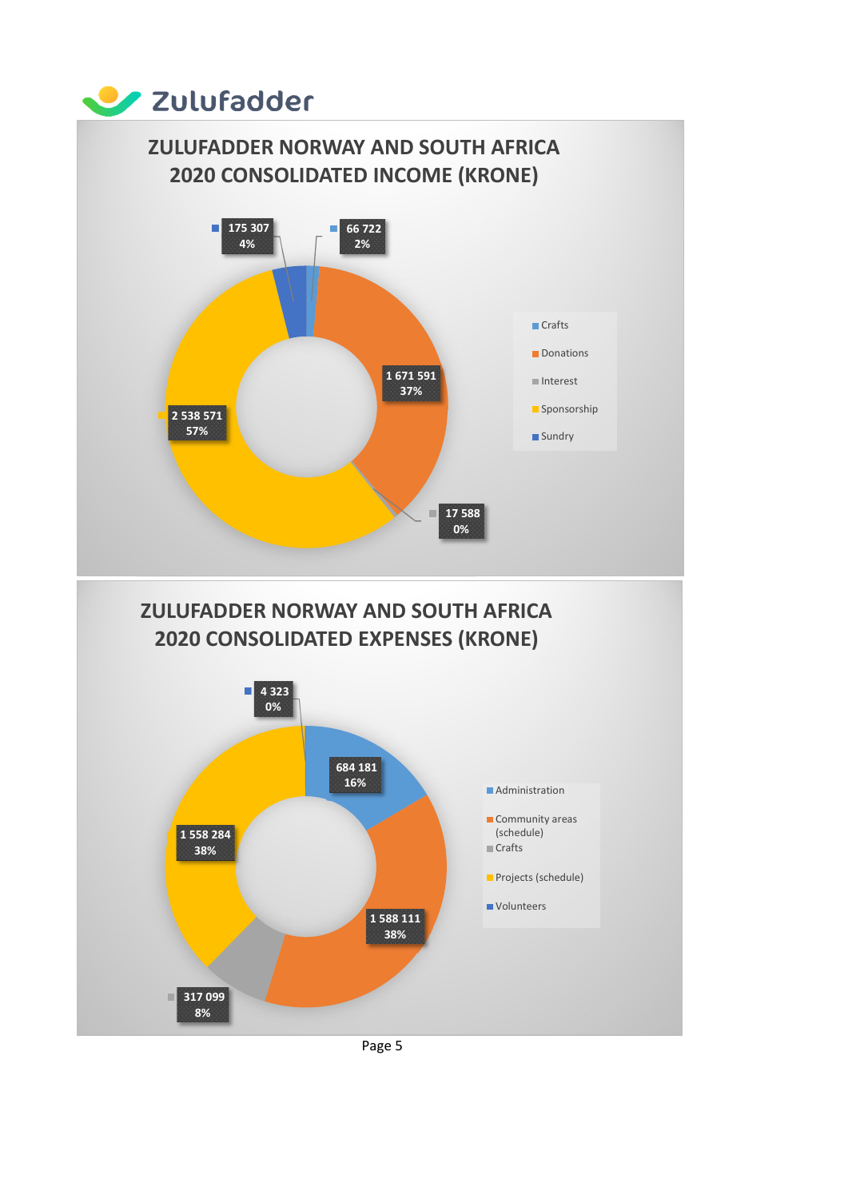# V Zulufadder ZULUFADDER NORWAY AND SOUTH AFRICA 2020 CONSOLIDATED INCOME (KRONE) Ō. 66 722 175 307 **4% and 2% and 2% and 2% and 2% and 2% and 2% and 2% and 2% and 2% and 2% and 2% and 2.1 and 2.1 and 2.1 and 2.** 2% and the contract of the contract of the contract of the contract of the contract of the contract of the contract of the contract of the contract of the contract of the contract of the contract of the contract of the con Crafts Donations 1 671 591 Interest and the second contract of the second contract of the second contract of the second contract of the second con **Sponsorship** 2 538 571 57% and the state of the state of the state of the state of the state of the state of the state of the state o **Sundry** 17 588 r. **0%** and the contract of the contract of the contract of the contract of the contract of the contract of the contract of the contract of the contract of the contract of the contract of the contract of the contract of the c ZULUFADDER NORWAY AND SOUTH AFRICA 2020 CONSOLIDATED EXPENSES (KRONE) i. 4 323 0% and the contract of the contract of the contract of the contract of the contract of the contract of the contract of the contract of the contract of the contract of the contract of the contract of the contract of the con 684 181 **16%**<br>Administration **Community areas** (schedule) 1 558 284 ■ Crafts 38% <mark>a Crafts and State and State and State and State and State and State and State and State and State and St</mark> **Projects (schedule) Volunteers** 1 588 111 38% and the state of the state of the state of the state of the state of the state of the state of the state o 317 099 m) 8% and the second contract of the second contract of the second contract of the second contract of the second